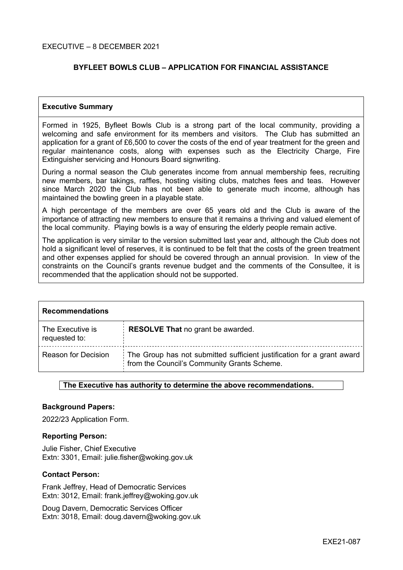#### EXECUTIVE – 8 DECEMBER 2021

### **BYFLEET BOWLS CLUB – APPLICATION FOR FINANCIAL ASSISTANCE**

#### **Executive Summary**

Formed in 1925, Byfleet Bowls Club is a strong part of the local community, providing a welcoming and safe environment for its members and visitors. The Club has submitted an application for a grant of £6,500 to cover the costs of the end of year treatment for the green and regular maintenance costs, along with expenses such as the Electricity Charge, Fire Extinguisher servicing and Honours Board signwriting.

During a normal season the Club generates income from annual membership fees, recruiting new members, bar takings, raffles, hosting visiting clubs, matches fees and teas. However since March 2020 the Club has not been able to generate much income, although has maintained the bowling green in a playable state.

A high percentage of the members are over 65 years old and the Club is aware of the importance of attracting new members to ensure that it remains a thriving and valued element of the local community. Playing bowls is a way of ensuring the elderly people remain active.

The application is very similar to the version submitted last year and, although the Club does not hold a significant level of reserves, it is continued to be felt that the costs of the green treatment and other expenses applied for should be covered through an annual provision. In view of the constraints on the Council's grants revenue budget and the comments of the Consultee, it is recommended that the application should not be supported.

| <b>Recommendations</b>            |                                                                                                                       |  |  |
|-----------------------------------|-----------------------------------------------------------------------------------------------------------------------|--|--|
| The Executive is<br>requested to: | <b>RESOLVE That no grant be awarded.</b>                                                                              |  |  |
| <b>Reason for Decision</b>        | The Group has not submitted sufficient justification for a grant award<br>from the Council's Community Grants Scheme. |  |  |

#### **The Executive has authority to determine the above recommendations.**

#### **Background Papers:**

2022/23 Application Form.

#### **Reporting Person:**

Julie Fisher, Chief Executive Extn: 3301, Email: julie.fisher@woking.gov.uk

#### **Contact Person:**

Frank Jeffrey, Head of Democratic Services Extn: 3012, Email: frank.jeffrey@woking.gov.uk

Doug Davern, Democratic Services Officer Extn: 3018, Email: doug.davern@woking.gov.uk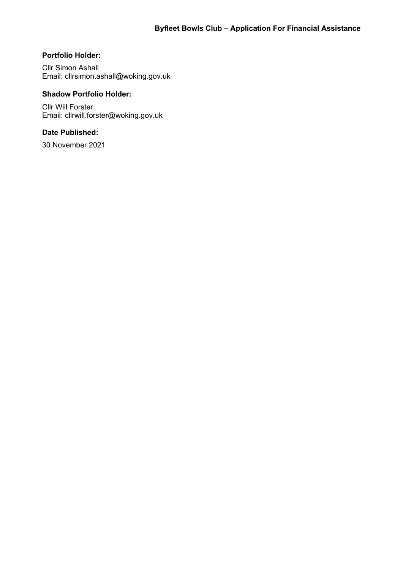## **Portfolio Holder:**

Cllr Simon Ashall Email: cllrsimon.ashall@woking.gov.uk

## **Shadow Portfolio Holder:**

Cllr Will Forster Email: cllrwill.forster@woking.gov.uk

## **Date Published:**

30 November 2021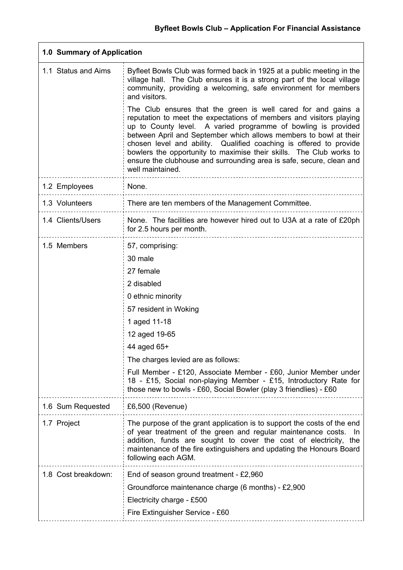| 1.0 Summary of Application |                                                                                                                                                                                                                                                                                                                                                                                                                                                                                                                     |  |  |  |
|----------------------------|---------------------------------------------------------------------------------------------------------------------------------------------------------------------------------------------------------------------------------------------------------------------------------------------------------------------------------------------------------------------------------------------------------------------------------------------------------------------------------------------------------------------|--|--|--|
| 1.1 Status and Aims        | Byfleet Bowls Club was formed back in 1925 at a public meeting in the<br>village hall. The Club ensures it is a strong part of the local village<br>community, providing a welcoming, safe environment for members<br>and visitors.                                                                                                                                                                                                                                                                                 |  |  |  |
|                            | The Club ensures that the green is well cared for and gains a<br>reputation to meet the expectations of members and visitors playing<br>up to County level. A varied programme of bowling is provided<br>between April and September which allows members to bowl at their<br>chosen level and ability. Qualified coaching is offered to provide<br>bowlers the opportunity to maximise their skills. The Club works to<br>ensure the clubhouse and surrounding area is safe, secure, clean and<br>well maintained. |  |  |  |
| 1.2 Employees              | None.                                                                                                                                                                                                                                                                                                                                                                                                                                                                                                               |  |  |  |
| 1.3 Volunteers             | There are ten members of the Management Committee.                                                                                                                                                                                                                                                                                                                                                                                                                                                                  |  |  |  |
| 1.4 Clients/Users          | None. The facilities are however hired out to U3A at a rate of £20ph<br>for 2.5 hours per month.                                                                                                                                                                                                                                                                                                                                                                                                                    |  |  |  |
| 1.5 Members                | 57, comprising:                                                                                                                                                                                                                                                                                                                                                                                                                                                                                                     |  |  |  |
|                            | 30 male                                                                                                                                                                                                                                                                                                                                                                                                                                                                                                             |  |  |  |
|                            | 27 female                                                                                                                                                                                                                                                                                                                                                                                                                                                                                                           |  |  |  |
|                            | 2 disabled                                                                                                                                                                                                                                                                                                                                                                                                                                                                                                          |  |  |  |
|                            | 0 ethnic minority                                                                                                                                                                                                                                                                                                                                                                                                                                                                                                   |  |  |  |
|                            | 57 resident in Woking                                                                                                                                                                                                                                                                                                                                                                                                                                                                                               |  |  |  |
|                            | 1 aged 11-18                                                                                                                                                                                                                                                                                                                                                                                                                                                                                                        |  |  |  |
|                            | 12 aged 19-65                                                                                                                                                                                                                                                                                                                                                                                                                                                                                                       |  |  |  |
|                            | 44 aged 65+                                                                                                                                                                                                                                                                                                                                                                                                                                                                                                         |  |  |  |
|                            | The charges levied are as follows:                                                                                                                                                                                                                                                                                                                                                                                                                                                                                  |  |  |  |
|                            | Full Member - £120, Associate Member - £60, Junior Member under<br>18 - £15, Social non-playing Member - £15, Introductory Rate for<br>those new to bowls - £60, Social Bowler (play 3 friendlies) - £60                                                                                                                                                                                                                                                                                                            |  |  |  |
| 1.6 Sum Requested          | £6,500 (Revenue)                                                                                                                                                                                                                                                                                                                                                                                                                                                                                                    |  |  |  |
| 1.7 Project                | The purpose of the grant application is to support the costs of the end<br>of year treatment of the green and regular maintenance costs. In<br>addition, funds are sought to cover the cost of electricity, the<br>maintenance of the fire extinguishers and updating the Honours Board<br>following each AGM.                                                                                                                                                                                                      |  |  |  |
| 1.8 Cost breakdown:        | End of season ground treatment - £2,960                                                                                                                                                                                                                                                                                                                                                                                                                                                                             |  |  |  |
|                            | Groundforce maintenance charge (6 months) - £2,900                                                                                                                                                                                                                                                                                                                                                                                                                                                                  |  |  |  |
|                            | Electricity charge - £500                                                                                                                                                                                                                                                                                                                                                                                                                                                                                           |  |  |  |
|                            | Fire Extinguisher Service - £60                                                                                                                                                                                                                                                                                                                                                                                                                                                                                     |  |  |  |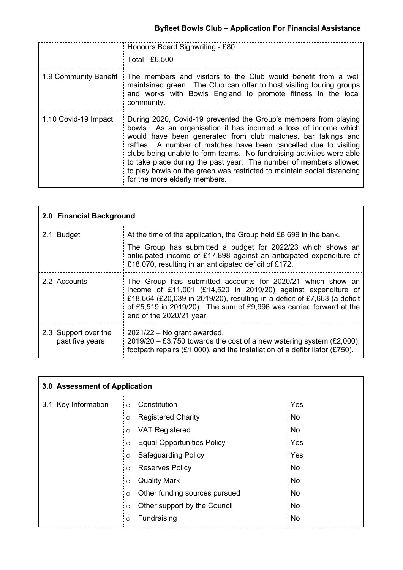|                       | Honours Board Signwriting - £80<br>Total - £6,500                                                                                                                                                                                                                                                                                                                                                                                                                                                                                  |
|-----------------------|------------------------------------------------------------------------------------------------------------------------------------------------------------------------------------------------------------------------------------------------------------------------------------------------------------------------------------------------------------------------------------------------------------------------------------------------------------------------------------------------------------------------------------|
| 1.9 Community Benefit | The members and visitors to the Club would benefit from a well<br>maintained green. The Club can offer to host visiting touring groups<br>and works with Bowls England to promote fitness in the local<br>community.                                                                                                                                                                                                                                                                                                               |
| 1.10 Covid-19 Impact  | During 2020, Covid-19 prevented the Group's members from playing<br>bowls. As an organisation it has incurred a loss of income which<br>would have been generated from club matches, bar takings and<br>raffles. A number of matches have been cancelled due to visiting<br>clubs being unable to form teams. No fundraising activities were able<br>to take place during the past year. The number of members allowed<br>to play bowls on the green was restricted to maintain social distancing<br>for the more elderly members. |

| 2.0 Financial Background                |                                                                                                                                                                                                                                                                                                             |  |  |  |
|-----------------------------------------|-------------------------------------------------------------------------------------------------------------------------------------------------------------------------------------------------------------------------------------------------------------------------------------------------------------|--|--|--|
| 2.1 Budget                              | At the time of the application, the Group held £8,699 in the bank.                                                                                                                                                                                                                                          |  |  |  |
|                                         | The Group has submitted a budget for 2022/23 which shows an<br>anticipated income of £17,898 against an anticipated expenditure of<br>£18,070, resulting in an anticipated deficit of £172.                                                                                                                 |  |  |  |
| 2.2 Accounts                            | The Group has submitted accounts for 2020/21 which show an<br>income of £11,001 (£14,520 in 2019/20) against expenditure of<br>£18,664 (£20,039 in 2019/20), resulting in a deficit of £7,663 (a deficit<br>of £5,519 in 2019/20). The sum of £9,996 was carried forward at the<br>end of the 2020/21 year. |  |  |  |
| 2.3 Support over the<br>past five years | $2021/22$ – No grant awarded.<br>$2019/20 - £3,750$ towards the cost of a new watering system (£2,000),<br>footpath repairs (£1,000), and the installation of a defibrillator (£750).                                                                                                                       |  |  |  |

| 3.0 Assessment of Application |         |                                   |  |           |
|-------------------------------|---------|-----------------------------------|--|-----------|
| 3.1 Key Information           | $\circ$ | Constitution                      |  | Yes       |
|                               | O       | <b>Registered Charity</b>         |  | <b>No</b> |
|                               | $\circ$ | <b>VAT Registered</b>             |  | <b>No</b> |
|                               | $\circ$ | <b>Equal Opportunities Policy</b> |  | Yes       |
|                               | $\circ$ | <b>Safeguarding Policy</b>        |  | Yes       |
|                               | $\circ$ | <b>Reserves Policy</b>            |  | No        |
|                               | $\circ$ | <b>Quality Mark</b>               |  | <b>No</b> |
|                               | O       | Other funding sources pursued     |  | <b>No</b> |
|                               | $\circ$ | Other support by the Council      |  | <b>No</b> |
|                               | $\circ$ | Fundraising                       |  | No        |